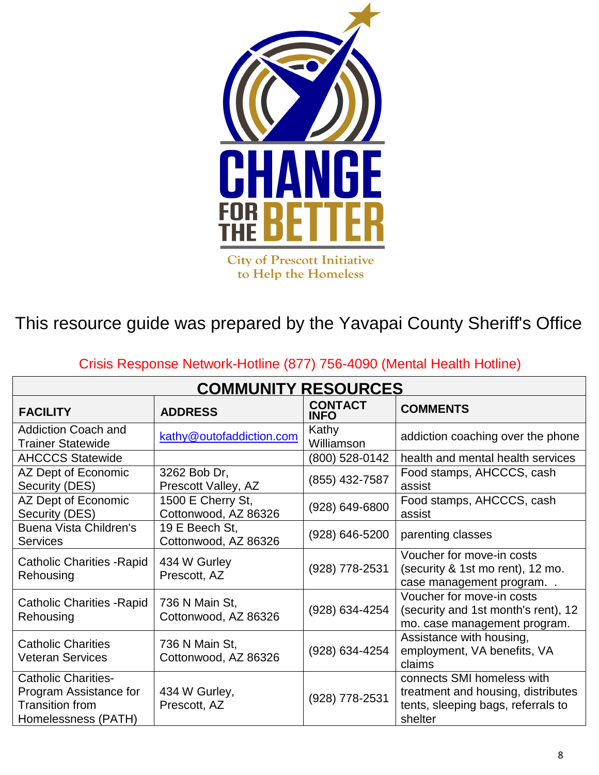

**City of Prescott Initiative** to Help the Homeless

This resource guide was prepared by the Yavapai County Sheriff's Office

| <b>COMMUNITY RESOURCES</b>                                                                            |                                           |                               |                                                                                                                   |  |
|-------------------------------------------------------------------------------------------------------|-------------------------------------------|-------------------------------|-------------------------------------------------------------------------------------------------------------------|--|
| <b>FACILITY</b>                                                                                       | <b>ADDRESS</b>                            | <b>CONTACT</b><br><b>INFO</b> | <b>COMMENTS</b>                                                                                                   |  |
| <b>Addiction Coach and</b><br><b>Trainer Statewide</b>                                                | kathy@outofaddiction.com                  | Kathy<br>Williamson           | addiction coaching over the phone                                                                                 |  |
| <b>AHCCCS Statewide</b>                                                                               |                                           | (800) 528-0142                | health and mental health services                                                                                 |  |
| AZ Dept of Economic<br>Security (DES)                                                                 | 3262 Bob Dr,<br>Prescott Valley, AZ       | (855) 432-7587                | Food stamps, AHCCCS, cash<br>assist                                                                               |  |
| AZ Dept of Economic<br>Security (DES)                                                                 | 1500 E Cherry St,<br>Cottonwood, AZ 86326 | (928) 649-6800                | Food stamps, AHCCCS, cash<br>assist                                                                               |  |
| <b>Buena Vista Children's</b><br><b>Services</b>                                                      | 19 E Beech St,<br>Cottonwood, AZ 86326    | (928) 646-5200                | parenting classes                                                                                                 |  |
| <b>Catholic Charities - Rapid</b><br>Rehousing                                                        | 434 W Gurley<br>Prescott, AZ              | (928) 778-2531                | Voucher for move-in costs<br>(security & 1st mo rent), 12 mo.<br>case management program                          |  |
| <b>Catholic Charities - Rapid</b><br>Rehousing                                                        | 736 N Main St,<br>Cottonwood, AZ 86326    | (928) 634-4254                | Voucher for move-in costs<br>(security and 1st month's rent), 12<br>mo. case management program.                  |  |
| <b>Catholic Charities</b><br><b>Veteran Services</b>                                                  | 736 N Main St,<br>Cottonwood, AZ 86326    | (928) 634-4254                | Assistance with housing,<br>employment, VA benefits, VA<br>claims                                                 |  |
| <b>Catholic Charities-</b><br>Program Assistance for<br><b>Transition from</b><br>Homelessness (PATH) | 434 W Gurley,<br>Prescott, AZ             | (928) 778-2531                | connects SMI homeless with<br>treatment and housing, distributes<br>tents, sleeping bags, referrals to<br>shelter |  |

## Crisis Response Network-Hotline (877) 756-4090 (Mental Health Hotline)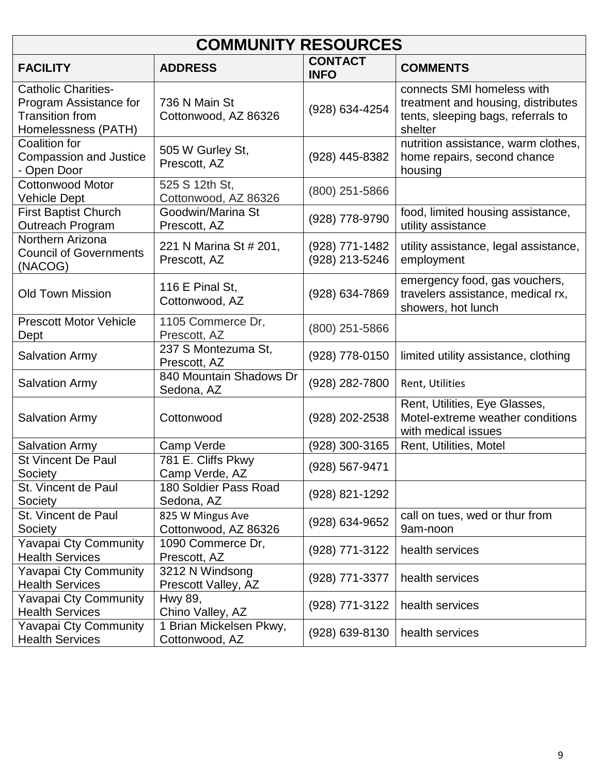| <b>COMMUNITY RESOURCES</b>                                                                            |                                           |                                  |                                                                                                                   |  |  |
|-------------------------------------------------------------------------------------------------------|-------------------------------------------|----------------------------------|-------------------------------------------------------------------------------------------------------------------|--|--|
| <b>FACILITY</b>                                                                                       | <b>ADDRESS</b>                            | <b>CONTACT</b><br><b>INFO</b>    | <b>COMMENTS</b>                                                                                                   |  |  |
| <b>Catholic Charities-</b><br>Program Assistance for<br><b>Transition from</b><br>Homelessness (PATH) | 736 N Main St<br>Cottonwood, AZ 86326     | (928) 634-4254                   | connects SMI homeless with<br>treatment and housing, distributes<br>tents, sleeping bags, referrals to<br>shelter |  |  |
| <b>Coalition for</b><br><b>Compassion and Justice</b><br>- Open Door                                  | 505 W Gurley St,<br>Prescott, AZ          | (928) 445-8382                   | nutrition assistance, warm clothes,<br>home repairs, second chance<br>housing                                     |  |  |
| <b>Cottonwood Motor</b><br>Vehicle Dept                                                               | 525 S 12th St,<br>Cottonwood, AZ 86326    | (800) 251-5866                   |                                                                                                                   |  |  |
| <b>First Baptist Church</b><br>Outreach Program                                                       | Goodwin/Marina St<br>Prescott, AZ         | (928) 778-9790                   | food, limited housing assistance,<br>utility assistance                                                           |  |  |
| Northern Arizona<br><b>Council of Governments</b><br>(NACOG)                                          | 221 N Marina St # 201,<br>Prescott, AZ    | (928) 771-1482<br>(928) 213-5246 | utility assistance, legal assistance,<br>employment                                                               |  |  |
| <b>Old Town Mission</b>                                                                               | 116 E Pinal St,<br>Cottonwood, AZ         | (928) 634-7869                   | emergency food, gas vouchers,<br>travelers assistance, medical rx,<br>showers, hot lunch                          |  |  |
| <b>Prescott Motor Vehicle</b><br>Dept                                                                 | 1105 Commerce Dr,<br>Prescott, AZ         | (800) 251-5866                   |                                                                                                                   |  |  |
| <b>Salvation Army</b>                                                                                 | 237 S Montezuma St,<br>Prescott, AZ       | (928) 778-0150                   | limited utility assistance, clothing                                                                              |  |  |
| <b>Salvation Army</b>                                                                                 | 840 Mountain Shadows Dr<br>Sedona, AZ     | (928) 282-7800                   | Rent, Utilities                                                                                                   |  |  |
| <b>Salvation Army</b>                                                                                 | Cottonwood                                | (928) 202-2538                   | Rent, Utilities, Eye Glasses,<br>Motel-extreme weather conditions<br>with medical issues                          |  |  |
| <b>Salvation Army</b>                                                                                 | Camp Verde                                | (928) 300-3165                   | Rent, Utilities, Motel                                                                                            |  |  |
| <b>St Vincent De Paul</b><br>Society                                                                  | 781 E. Cliffs Pkwy<br>Camp Verde, AZ      | (928) 567-9471                   |                                                                                                                   |  |  |
| St. Vincent de Paul<br>Society                                                                        | 180 Soldier Pass Road<br>Sedona, AZ       | (928) 821-1292                   |                                                                                                                   |  |  |
| St. Vincent de Paul<br>Society                                                                        | 825 W Mingus Ave<br>Cottonwood, AZ 86326  | (928) 634-9652                   | call on tues, wed or thur from<br>9am-noon                                                                        |  |  |
| Yavapai Cty Community<br><b>Health Services</b>                                                       | 1090 Commerce Dr,<br>Prescott, AZ         | (928) 771-3122                   | health services                                                                                                   |  |  |
| Yavapai Cty Community<br><b>Health Services</b>                                                       | 3212 N Windsong<br>Prescott Valley, AZ    | (928) 771-3377                   | health services                                                                                                   |  |  |
| Yavapai Cty Community<br><b>Health Services</b>                                                       | Hwy 89,<br>Chino Valley, AZ               | (928) 771-3122                   | health services                                                                                                   |  |  |
| Yavapai Cty Community<br><b>Health Services</b>                                                       | 1 Brian Mickelsen Pkwy,<br>Cottonwood, AZ | (928) 639-8130                   | health services                                                                                                   |  |  |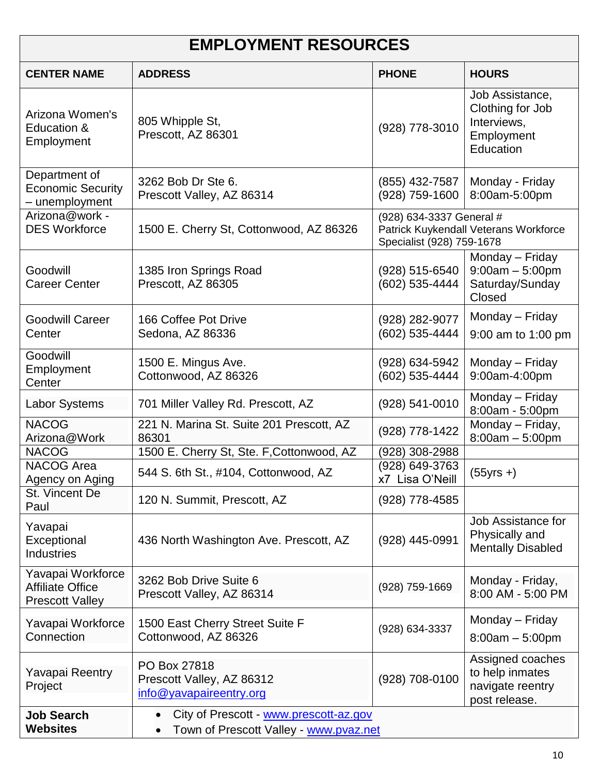| <b>EMPLOYMENT RESOURCES</b>                                            |                                                                                               |                                                       |                                                                               |  |
|------------------------------------------------------------------------|-----------------------------------------------------------------------------------------------|-------------------------------------------------------|-------------------------------------------------------------------------------|--|
| <b>CENTER NAME</b>                                                     | <b>ADDRESS</b>                                                                                | <b>PHONE</b>                                          | <b>HOURS</b>                                                                  |  |
| Arizona Women's<br>Education &<br>Employment                           | 805 Whipple St,<br>Prescott, AZ 86301                                                         | (928) 778-3010                                        | Job Assistance,<br>Clothing for Job<br>Interviews,<br>Employment<br>Education |  |
| Department of<br><b>Economic Security</b><br>- unemployment            | 3262 Bob Dr Ste 6.<br>Prescott Valley, AZ 86314                                               | (855) 432-7587<br>(928) 759-1600                      | Monday - Friday<br>8:00am-5:00pm                                              |  |
| Arizona@work -<br><b>DES Workforce</b>                                 | 1500 E. Cherry St, Cottonwood, AZ 86326                                                       | (928) 634-3337 General #<br>Specialist (928) 759-1678 | Patrick Kuykendall Veterans Workforce                                         |  |
| Goodwill<br><b>Career Center</b>                                       | 1385 Iron Springs Road<br>Prescott, AZ 86305                                                  | (928) 515-6540<br>(602) 535-4444                      | Monday - Friday<br>$9:00am - 5:00pm$<br>Saturday/Sunday<br>Closed             |  |
| <b>Goodwill Career</b><br>Center                                       | 166 Coffee Pot Drive<br>Sedona, AZ 86336                                                      | (928) 282-9077<br>(602) 535-4444                      | Monday - Friday<br>9:00 am to 1:00 pm                                         |  |
| Goodwill<br>Employment<br>Center                                       | 1500 E. Mingus Ave.<br>Cottonwood, AZ 86326                                                   | (928) 634-5942<br>(602) 535-4444                      | Monday - Friday<br>9:00am-4:00pm                                              |  |
| <b>Labor Systems</b>                                                   | 701 Miller Valley Rd. Prescott, AZ                                                            | $(928) 541 - 0010$                                    | Monday - Friday<br>8:00am - 5:00pm                                            |  |
| <b>NACOG</b><br>Arizona@Work                                           | 221 N. Marina St. Suite 201 Prescott, AZ<br>86301                                             | (928) 778-1422                                        | Monday - Friday,<br>$8:00am - 5:00pm$                                         |  |
| <b>NACOG</b>                                                           | 1500 E. Cherry St, Ste. F, Cottonwood, AZ                                                     | (928) 308-2988                                        |                                                                               |  |
| <b>NACOG Area</b><br>Agency on Aging                                   | 544 S. 6th St., #104, Cottonwood, AZ                                                          | (928) 649-3763<br>x7 Lisa O'Neill                     | $(55yrs + )$                                                                  |  |
| St. Vincent De<br>Paul                                                 | 120 N. Summit, Prescott, AZ                                                                   | (928) 778-4585                                        |                                                                               |  |
| Yavapai<br>Exceptional<br><b>Industries</b>                            | 436 North Washington Ave. Prescott, AZ                                                        | (928) 445-0991                                        | Job Assistance for<br>Physically and<br><b>Mentally Disabled</b>              |  |
| Yavapai Workforce<br><b>Affiliate Office</b><br><b>Prescott Valley</b> | 3262 Bob Drive Suite 6<br>Prescott Valley, AZ 86314                                           | (928) 759-1669                                        | Monday - Friday,<br>8:00 AM - 5:00 PM                                         |  |
| Yavapai Workforce<br>Connection                                        | 1500 East Cherry Street Suite F<br>Cottonwood, AZ 86326                                       | (928) 634-3337                                        | Monday - Friday<br>$8:00am - 5:00pm$                                          |  |
| Yavapai Reentry<br>Project                                             | PO Box 27818<br>Prescott Valley, AZ 86312<br>info@yavapaireentry.org                          | (928) 708-0100                                        | Assigned coaches<br>to help inmates<br>navigate reentry<br>post release.      |  |
| <b>Job Search</b><br><b>Websites</b>                                   | City of Prescott - www.prescott-az.gov<br>$\bullet$<br>Town of Prescott Valley - www.pvaz.net |                                                       |                                                                               |  |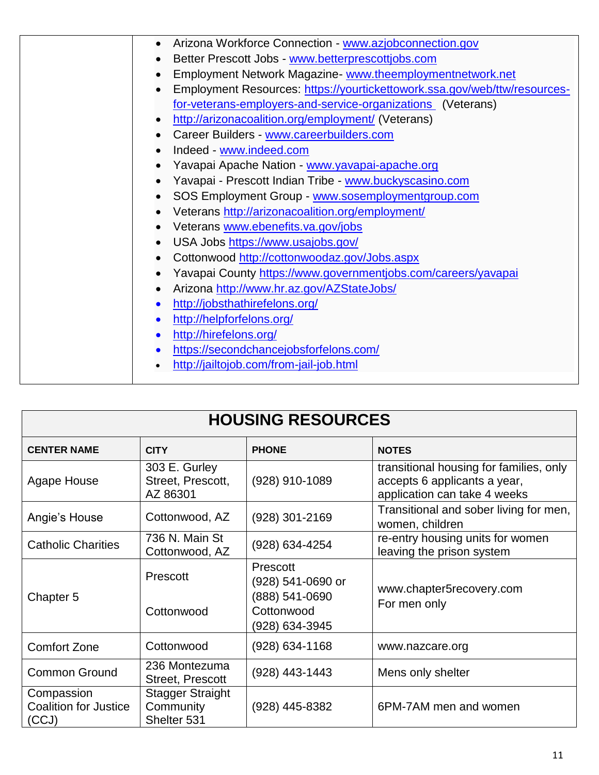| Arizona Workforce Connection - www.azjobconnection.gov                    |
|---------------------------------------------------------------------------|
| Better Prescott Jobs - www.betterprescottjobs.com                         |
| Employment Network Magazine- www.theemploymentnetwork.net                 |
| Employment Resources: https://yourtickettowork.ssa.gov/web/ttw/resources- |
| for-veterans-employers-and-service-organizations (Veterans)               |
| http://arizonacoalition.org/employment/ (Veterans)                        |
| Career Builders - www.careerbuilders.com                                  |
| Indeed - www.indeed.com                                                   |
| Yavapai Apache Nation - www.yavapai-apache.org                            |
| Yavapai - Prescott Indian Tribe - www.buckyscasino.com                    |
| SOS Employment Group - www.sosemploymentgroup.com                         |
| Veterans http://arizonacoalition.org/employment/                          |
| Veterans www.ebenefits.va.gov/jobs                                        |
| USA Jobs https://www.usajobs.gov/                                         |
| Cottonwood http://cottonwoodaz.gov/Jobs.aspx                              |
| Yavapai County https://www.governmentjobs.com/careers/yavapai             |
| Arizona http://www.hr.az.gov/AZStateJobs/                                 |
| http://jobsthathirefelons.org/                                            |
| http://helpforfelons.org/                                                 |
| http://hirefelons.org/                                                    |
| https://secondchancejobsforfelons.com/                                    |
| http://jailtojob.com/from-jail-job.html                                   |
|                                                                           |

| <b>HOUSING RESOURCES</b>                            |                                                     |                                                   |                                                                                                         |
|-----------------------------------------------------|-----------------------------------------------------|---------------------------------------------------|---------------------------------------------------------------------------------------------------------|
| <b>CENTER NAME</b>                                  | <b>CITY</b>                                         | <b>NOTES</b>                                      |                                                                                                         |
| Agape House                                         | 303 E. Gurley<br>Street, Prescott,<br>AZ 86301      | (928) 910-1089                                    | transitional housing for families, only<br>accepts 6 applicants a year,<br>application can take 4 weeks |
| Angie's House                                       | Cottonwood, AZ                                      | (928) 301-2169                                    | Transitional and sober living for men,<br>women, children                                               |
| <b>Catholic Charities</b>                           | 736 N. Main St<br>Cottonwood, AZ                    | (928) 634-4254                                    | re-entry housing units for women<br>leaving the prison system                                           |
|                                                     | Prescott                                            | Prescott<br>$(928)$ 541-0690 or<br>(888) 541-0690 | www.chapter5recovery.com                                                                                |
| Chapter 5                                           | Cottonwood                                          | Cottonwood<br>(928) 634-3945                      | For men only                                                                                            |
| <b>Comfort Zone</b>                                 | Cottonwood                                          | $(928)$ 634-1168                                  | www.nazcare.org                                                                                         |
| <b>Common Ground</b>                                | 236 Montezuma<br><b>Street, Prescott</b>            | (928) 443-1443                                    | Mens only shelter                                                                                       |
| Compassion<br><b>Coalition for Justice</b><br>(CCJ) | <b>Stagger Straight</b><br>Community<br>Shelter 531 | (928) 445-8382                                    | 6PM-7AM men and women                                                                                   |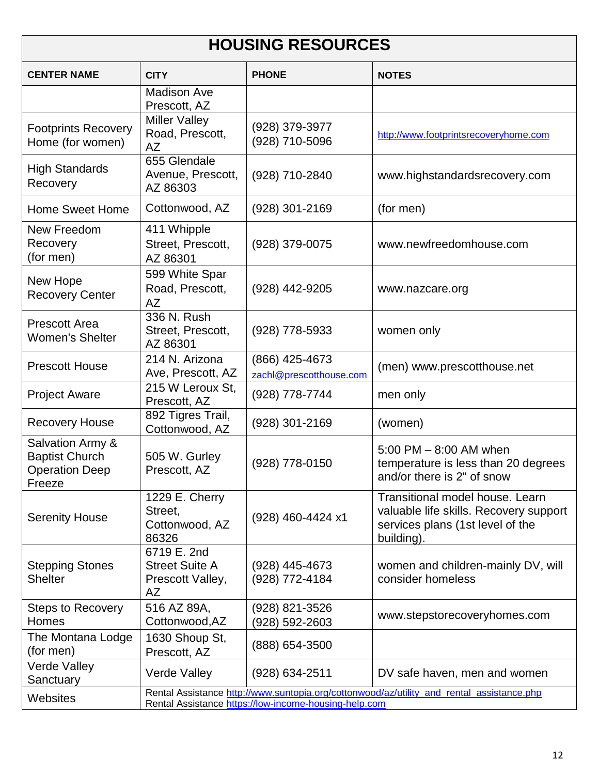| <b>HOUSING RESOURCES</b>                                                     |                                                                                                                                                    |                                           |                                                                                                                             |
|------------------------------------------------------------------------------|----------------------------------------------------------------------------------------------------------------------------------------------------|-------------------------------------------|-----------------------------------------------------------------------------------------------------------------------------|
| <b>CENTER NAME</b>                                                           | <b>CITY</b>                                                                                                                                        | <b>PHONE</b>                              | <b>NOTES</b>                                                                                                                |
|                                                                              | <b>Madison Ave</b><br>Prescott, AZ                                                                                                                 |                                           |                                                                                                                             |
| <b>Footprints Recovery</b><br>Home (for women)                               | <b>Miller Valley</b><br>Road, Prescott,<br>AZ                                                                                                      | (928) 379-3977<br>(928) 710-5096          | http://www.footprintsrecoveryhome.com                                                                                       |
| <b>High Standards</b><br>Recovery                                            | 655 Glendale<br>Avenue, Prescott,<br>AZ 86303                                                                                                      | (928) 710-2840                            | www.highstandardsrecovery.com                                                                                               |
| <b>Home Sweet Home</b>                                                       | Cottonwood, AZ                                                                                                                                     | (928) 301-2169                            | (for men)                                                                                                                   |
| New Freedom<br>Recovery<br>(for men)                                         | 411 Whipple<br>Street, Prescott,<br>AZ 86301                                                                                                       | (928) 379-0075                            | www.newfreedomhouse.com                                                                                                     |
| New Hope<br><b>Recovery Center</b>                                           | 599 White Spar<br>Road, Prescott,<br>AZ                                                                                                            | (928) 442-9205                            | www.nazcare.org                                                                                                             |
| <b>Prescott Area</b><br><b>Women's Shelter</b>                               | 336 N. Rush<br>Street, Prescott,<br>AZ 86301                                                                                                       | (928) 778-5933                            | women only                                                                                                                  |
| <b>Prescott House</b>                                                        | 214 N. Arizona<br>Ave, Prescott, AZ                                                                                                                | (866) 425-4673<br>zachl@prescotthouse.com | (men) www.prescotthouse.net                                                                                                 |
| <b>Project Aware</b>                                                         | 215 W Leroux St,<br>Prescott, AZ                                                                                                                   | (928) 778-7744                            | men only                                                                                                                    |
| <b>Recovery House</b>                                                        | 892 Tigres Trail,<br>Cottonwood, AZ                                                                                                                | (928) 301-2169                            | (women)                                                                                                                     |
| Salvation Army &<br><b>Baptist Church</b><br><b>Operation Deep</b><br>Freeze | 505 W. Gurley<br>Prescott, AZ                                                                                                                      | (928) 778-0150                            | 5:00 PM $-$ 8:00 AM when<br>temperature is less than 20 degrees<br>and/or there is 2" of snow                               |
| <b>Serenity House</b>                                                        | 1229 E. Cherry<br>Street,<br>Cottonwood, AZ<br>86326                                                                                               | (928) 460-4424 x1                         | Transitional model house. Learn<br>valuable life skills. Recovery support<br>services plans (1st level of the<br>building). |
| <b>Stepping Stones</b><br><b>Shelter</b>                                     | 6719 E. 2nd<br><b>Street Suite A</b><br>Prescott Valley,<br>AZ                                                                                     | (928) 445-4673<br>(928) 772-4184          | women and children-mainly DV, will<br>consider homeless                                                                     |
| <b>Steps to Recovery</b><br>Homes                                            | 516 AZ 89A,<br>Cottonwood, AZ                                                                                                                      | (928) 821-3526<br>(928) 592-2603          | www.stepstorecoveryhomes.com                                                                                                |
| The Montana Lodge<br>(for men)                                               | 1630 Shoup St,<br>Prescott, AZ                                                                                                                     | (888) 654-3500                            |                                                                                                                             |
| <b>Verde Valley</b><br>Sanctuary                                             | <b>Verde Valley</b>                                                                                                                                | (928) 634-2511                            | DV safe haven, men and women                                                                                                |
| <b>Websites</b>                                                              | Rental Assistance http://www.suntopia.org/cottonwood/az/utility_and_rental_assistance.php<br>Rental Assistance https://low-income-housing-help.com |                                           |                                                                                                                             |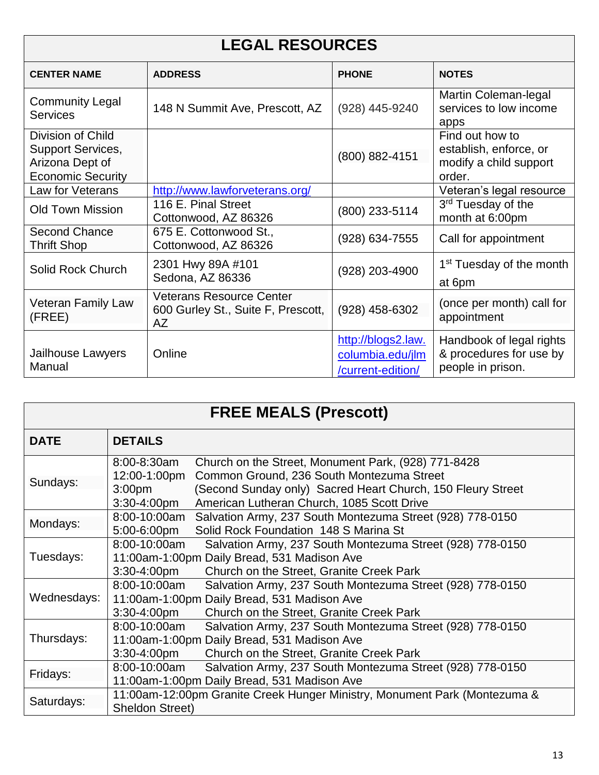| <b>LEGAL RESOURCES</b>                                                                       |                                                                                    |                                                             |                                                                               |  |
|----------------------------------------------------------------------------------------------|------------------------------------------------------------------------------------|-------------------------------------------------------------|-------------------------------------------------------------------------------|--|
| <b>CENTER NAME</b>                                                                           | <b>ADDRESS</b>                                                                     | <b>PHONE</b>                                                | <b>NOTES</b>                                                                  |  |
| <b>Community Legal</b><br><b>Services</b>                                                    | 148 N Summit Ave, Prescott, AZ                                                     | (928) 445-9240                                              | Martin Coleman-legal<br>services to low income<br>apps                        |  |
| Division of Child<br><b>Support Services,</b><br>Arizona Dept of<br><b>Economic Security</b> |                                                                                    | (800) 882-4151                                              | Find out how to<br>establish, enforce, or<br>modify a child support<br>order. |  |
| Law for Veterans                                                                             | http://www.lawforveterans.org/                                                     |                                                             | Veteran's legal resource                                                      |  |
| <b>Old Town Mission</b>                                                                      | 116 E. Pinal Street<br>Cottonwood, AZ 86326                                        | (800) 233-5114                                              | 3 <sup>rd</sup> Tuesday of the<br>month at 6:00pm                             |  |
| <b>Second Chance</b><br><b>Thrift Shop</b>                                                   | 675 E. Cottonwood St.,<br>Cottonwood, AZ 86326                                     | (928) 634-7555                                              | Call for appointment                                                          |  |
| Solid Rock Church                                                                            | 2301 Hwy 89A #101<br>Sedona, AZ 86336                                              | (928) 203-4900                                              | 1 <sup>st</sup> Tuesday of the month<br>at 6pm                                |  |
| <b>Veteran Family Law</b><br>(FREE)                                                          | <b>Veterans Resource Center</b><br>600 Gurley St., Suite F, Prescott,<br><b>AZ</b> | $(928)$ 458-6302                                            | (once per month) call for<br>appointment                                      |  |
| Jailhouse Lawyers<br>Manual                                                                  | Online                                                                             | http://blogs2.law.<br>columbia.edu/jlm<br>/current-edition/ | Handbook of legal rights<br>& procedures for use by<br>people in prison.      |  |

| <b>FREE MEALS (Prescott)</b> |                                                                                                                                                                                                                                                                                        |  |  |
|------------------------------|----------------------------------------------------------------------------------------------------------------------------------------------------------------------------------------------------------------------------------------------------------------------------------------|--|--|
| <b>DATE</b>                  | <b>DETAILS</b>                                                                                                                                                                                                                                                                         |  |  |
| Sundays:                     | 8:00-8:30am<br>Church on the Street, Monument Park, (928) 771-8428<br>Common Ground, 236 South Montezuma Street<br>12:00-1:00pm<br>(Second Sunday only) Sacred Heart Church, 150 Fleury Street<br>3:00 <sub>pm</sub><br>American Lutheran Church, 1085 Scott Drive<br>$3:30 - 4:00$ pm |  |  |
| Mondays:                     | 8:00-10:00am<br>Salvation Army, 237 South Montezuma Street (928) 778-0150<br>Solid Rock Foundation 148 S Marina St<br>5:00-6:00pm                                                                                                                                                      |  |  |
| Tuesdays:                    | 8:00-10:00am<br>Salvation Army, 237 South Montezuma Street (928) 778-0150<br>11:00am-1:00pm Daily Bread, 531 Madison Ave<br>$3:30 - 4:00$ pm<br>Church on the Street, Granite Creek Park                                                                                               |  |  |
| Wednesdays:                  | 8:00-10:00am<br>Salvation Army, 237 South Montezuma Street (928) 778-0150<br>11:00am-1:00pm Daily Bread, 531 Madison Ave<br>$3:30 - 4:00$ pm<br>Church on the Street, Granite Creek Park                                                                                               |  |  |
| Thursdays:                   | 8:00-10:00am<br>Salvation Army, 237 South Montezuma Street (928) 778-0150<br>11:00am-1:00pm Daily Bread, 531 Madison Ave<br>3:30-4:00pm<br>Church on the Street, Granite Creek Park                                                                                                    |  |  |
| Fridays:                     | 8:00-10:00am<br>Salvation Army, 237 South Montezuma Street (928) 778-0150<br>11:00am-1:00pm Daily Bread, 531 Madison Ave                                                                                                                                                               |  |  |
| Saturdays:                   | 11:00am-12:00pm Granite Creek Hunger Ministry, Monument Park (Montezuma &<br>Sheldon Street)                                                                                                                                                                                           |  |  |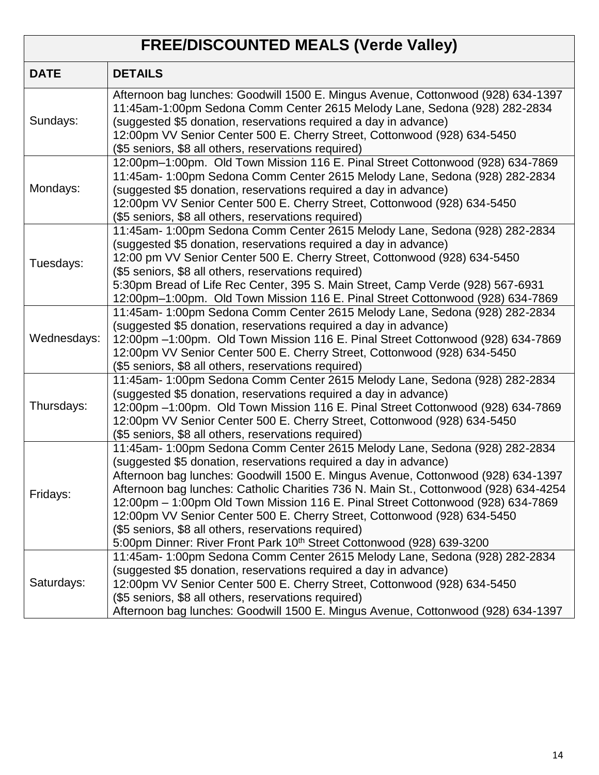#### **FREE/DISCOUNTED MEALS (Verde Valley) DATE DETAILS** Sundays: Afternoon bag lunches: Goodwill 1500 E. Mingus Avenue, Cottonwood (928) 634-1397 11:45am-1:00pm Sedona Comm Center 2615 Melody Lane, Sedona (928) 282-2834 (suggested \$5 donation, reservations required a day in advance) 12:00pm VV Senior Center 500 E. Cherry Street, Cottonwood (928) 634-5450 (\$5 seniors, \$8 all others, reservations required) Mondays: 12:00pm–1:00pm. Old Town Mission 116 E. Pinal Street Cottonwood (928) 634-7869 11:45am- 1:00pm Sedona Comm Center 2615 Melody Lane, Sedona (928) 282-2834 (suggested \$5 donation, reservations required a day in advance) 12:00pm VV Senior Center 500 E. Cherry Street, Cottonwood (928) 634-5450 (\$5 seniors, \$8 all others, reservations required) Tuesdays: 11:45am- 1:00pm Sedona Comm Center 2615 Melody Lane, Sedona (928) 282-2834 (suggested \$5 donation, reservations required a day in advance) 12:00 pm VV Senior Center 500 E. Cherry Street, Cottonwood (928) 634-5450 (\$5 seniors, \$8 all others, reservations required) 5:30pm Bread of Life Rec Center, 395 S. Main Street, Camp Verde (928) 567-6931 12:00pm–1:00pm. Old Town Mission 116 E. Pinal Street Cottonwood (928) 634-7869 Wednesdays: 11:45am- 1:00pm Sedona Comm Center 2615 Melody Lane, Sedona (928) 282-2834 (suggested \$5 donation, reservations required a day in advance) 12:00pm –1:00pm. Old Town Mission 116 E. Pinal Street Cottonwood (928) 634-7869 12:00pm VV Senior Center 500 E. Cherry Street, Cottonwood (928) 634-5450 (\$5 seniors, \$8 all others, reservations required) Thursdays: 11:45am- 1:00pm Sedona Comm Center 2615 Melody Lane, Sedona (928) 282-2834 (suggested \$5 donation, reservations required a day in advance) 12:00pm –1:00pm. Old Town Mission 116 E. Pinal Street Cottonwood (928) 634-7869 12:00pm VV Senior Center 500 E. Cherry Street, Cottonwood (928) 634-5450 (\$5 seniors, \$8 all others, reservations required) Fridays: 11:45am- 1:00pm Sedona Comm Center 2615 Melody Lane, Sedona (928) 282-2834 (suggested \$5 donation, reservations required a day in advance) Afternoon bag lunches: Goodwill 1500 E. Mingus Avenue, Cottonwood (928) 634-1397 Afternoon bag lunches: Catholic Charities 736 N. Main St., Cottonwood (928) 634-4254 12:00pm – 1:00pm Old Town Mission 116 E. Pinal Street Cottonwood (928) 634-7869 12:00pm VV Senior Center 500 E. Cherry Street, Cottonwood (928) 634-5450 (\$5 seniors, \$8 all others, reservations required) 5:00pm Dinner: River Front Park 10<sup>th</sup> Street Cottonwood (928) 639-3200 Saturdays: 11:45am- 1:00pm Sedona Comm Center 2615 Melody Lane, Sedona (928) 282-2834 (suggested \$5 donation, reservations required a day in advance) 12:00pm VV Senior Center 500 E. Cherry Street, Cottonwood (928) 634-5450 (\$5 seniors, \$8 all others, reservations required) Afternoon bag lunches: Goodwill 1500 E. Mingus Avenue, Cottonwood (928) 634-1397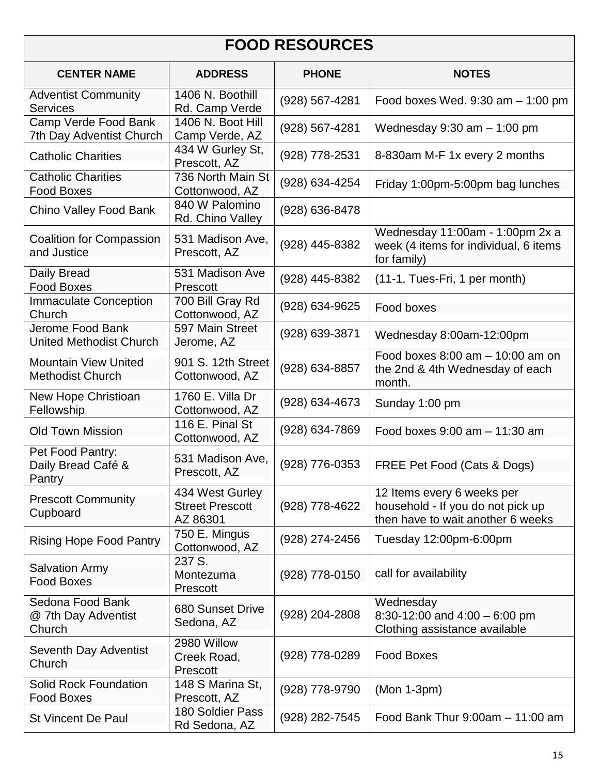# **FOOD RESOURCES**

| <b>CENTER NAME</b>                                     | <b>ADDRESS</b>                                        | <b>PHONE</b>     | <b>NOTES</b>                                                                                         |
|--------------------------------------------------------|-------------------------------------------------------|------------------|------------------------------------------------------------------------------------------------------|
| <b>Adventist Community</b><br><b>Services</b>          | 1406 N. Boothill<br>Rd. Camp Verde                    | (928) 567-4281   | Food boxes Wed. $9:30$ am $-1:00$ pm                                                                 |
| Camp Verde Food Bank<br>7th Day Adventist Church       | 1406 N. Boot Hill<br>Camp Verde, AZ                   | (928) 567-4281   | Wednesday $9:30$ am $-1:00$ pm                                                                       |
| <b>Catholic Charities</b>                              | 434 W Gurley St,<br>Prescott, AZ                      | (928) 778-2531   | 8-830am M-F 1x every 2 months                                                                        |
| <b>Catholic Charities</b><br><b>Food Boxes</b>         | 736 North Main St<br>Cottonwood, AZ                   | (928) 634-4254   | Friday 1:00pm-5:00pm bag lunches                                                                     |
| Chino Valley Food Bank                                 | 840 W Palomino<br>Rd. Chino Valley                    | (928) 636-8478   |                                                                                                      |
| Coalition for Compassion<br>and Justice                | 531 Madison Ave,<br>Prescott, AZ                      | (928) 445-8382   | Wednesday 11:00am - 1:00pm 2x a<br>week (4 items for individual, 6 items<br>for family)              |
| Daily Bread<br><b>Food Boxes</b>                       | 531 Madison Ave<br>Prescott                           | (928) 445-8382   | (11-1, Tues-Fri, 1 per month)                                                                        |
| <b>Immaculate Conception</b><br>Church                 | 700 Bill Gray Rd<br>Cottonwood, AZ                    | (928) 634-9625   | Food boxes                                                                                           |
| Jerome Food Bank<br><b>United Methodist Church</b>     | 597 Main Street<br>Jerome, AZ                         | (928) 639-3871   | Wednesday 8:00am-12:00pm                                                                             |
| <b>Mountain View United</b><br><b>Methodist Church</b> | 901 S. 12th Street<br>Cottonwood, AZ                  | (928) 634-8857   | Food boxes $8:00$ am $-10:00$ am on<br>the 2nd & 4th Wednesday of each<br>month.                     |
| New Hope Christioan<br>Fellowship                      | 1760 E. Villa Dr<br>Cottonwood, AZ                    | (928) 634-4673   | Sunday 1:00 pm                                                                                       |
| <b>Old Town Mission</b>                                | 116 E. Pinal St<br>Cottonwood, AZ                     | (928) 634-7869   | Food boxes 9:00 am - 11:30 am                                                                        |
| Pet Food Pantry:<br>Daily Bread Café &<br>Pantry       | 531 Madison Ave,<br>Prescott, AZ                      | (928) 776-0353   | FREE Pet Food (Cats & Dogs)                                                                          |
| <b>Prescott Community</b><br>Cupboard                  | 434 West Gurley<br><b>Street Prescott</b><br>AZ 86301 | (928) 778-4622   | 12 Items every 6 weeks per<br>household - If you do not pick up<br>then have to wait another 6 weeks |
| <b>Rising Hope Food Pantry</b>                         | 750 E. Mingus<br>Cottonwood, AZ                       | (928) 274-2456   | Tuesday 12:00pm-6:00pm                                                                               |
| <b>Salvation Army</b><br><b>Food Boxes</b>             | 237 S.<br>Montezuma<br>Prescott                       | $(928)$ 778-0150 | call for availability                                                                                |
| Sedona Food Bank<br>@ 7th Day Adventist<br>Church      | 680 Sunset Drive<br>Sedona, AZ                        | (928) 204-2808   | Wednesday<br>8:30-12:00 and $4:00 - 6:00$ pm<br>Clothing assistance available                        |
| Seventh Day Adventist<br>Church                        | 2980 Willow<br>Creek Road,<br>Prescott                | (928) 778-0289   | <b>Food Boxes</b>                                                                                    |
| <b>Solid Rock Foundation</b><br><b>Food Boxes</b>      | 148 S Marina St,<br>Prescott, AZ                      | (928) 778-9790   | $(Mon 1-3pm)$                                                                                        |
| <b>St Vincent De Paul</b>                              | 180 Soldier Pass<br>Rd Sedona, AZ                     | (928) 282-7545   | Food Bank Thur $9:00am - 11:00 am$                                                                   |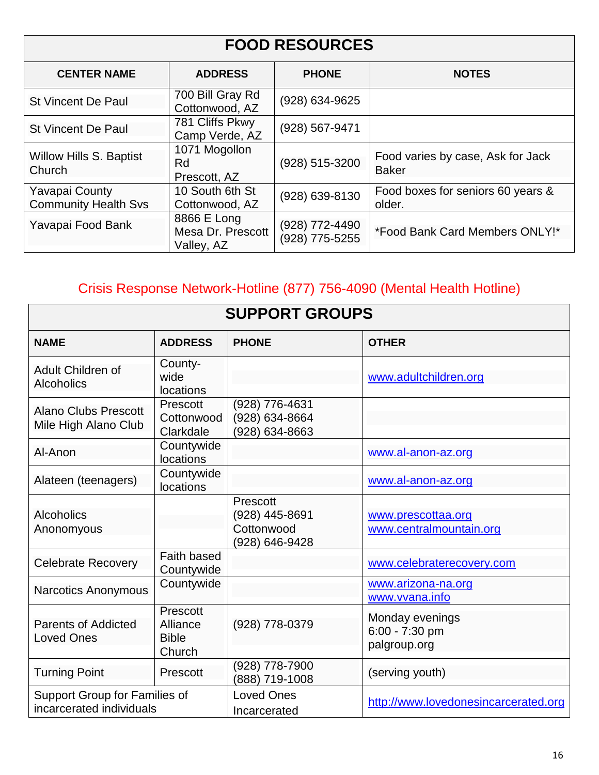# **FOOD RESOURCES**

| <b>CENTER NAME</b>                                   | <b>ADDRESS</b>                                 | <b>PHONE</b>                     | <b>NOTES</b>                                      |
|------------------------------------------------------|------------------------------------------------|----------------------------------|---------------------------------------------------|
| <b>St Vincent De Paul</b>                            | 700 Bill Gray Rd<br>Cottonwood, AZ             | (928) 634-9625                   |                                                   |
| <b>St Vincent De Paul</b>                            | 781 Cliffs Pkwy<br>Camp Verde, AZ              | $(928) 567 - 9471$               |                                                   |
| Willow Hills S. Baptist<br>Church                    | 1071 Mogollon<br>Rd<br>Prescott, AZ            | (928) 515-3200                   | Food varies by case, Ask for Jack<br><b>Baker</b> |
| <b>Yavapai County</b><br><b>Community Health Svs</b> | 10 South 6th St<br>Cottonwood, AZ              | (928) 639-8130                   | Food boxes for seniors 60 years &<br>older.       |
| Yavapai Food Bank                                    | 8866 E Long<br>Mesa Dr. Prescott<br>Valley, AZ | (928) 772-4490<br>(928) 775-5255 | *Food Bank Card Members ONLY!*                    |

# Crisis Response Network-Hotline (877) 756-4090 (Mental Health Hotline)

| <b>SUPPORT GROUPS</b>                                     |                                                |                                                            |                                                   |
|-----------------------------------------------------------|------------------------------------------------|------------------------------------------------------------|---------------------------------------------------|
| <b>NAME</b>                                               | <b>ADDRESS</b>                                 | <b>PHONE</b>                                               | <b>OTHER</b>                                      |
| Adult Children of<br><b>Alcoholics</b>                    | County-<br>wide<br>locations                   |                                                            | www.adultchildren.org                             |
| <b>Alano Clubs Prescott</b><br>Mile High Alano Club       | Prescott<br>Cottonwood<br>Clarkdale            | (928) 776-4631<br>(928) 634-8664<br>(928) 634-8663         |                                                   |
| Al-Anon                                                   | Countywide<br>locations                        |                                                            | www.al-anon-az.org                                |
| Alateen (teenagers)                                       | Countywide<br>locations                        |                                                            | www.al-anon-az.org                                |
| <b>Alcoholics</b><br>Anonomyous                           |                                                | Prescott<br>(928) 445-8691<br>Cottonwood<br>(928) 646-9428 | www.prescottaa.org<br>www.centralmountain.org     |
| <b>Celebrate Recovery</b>                                 | Faith based<br>Countywide                      |                                                            | www.celebraterecovery.com                         |
| <b>Narcotics Anonymous</b>                                | Countywide                                     |                                                            | www.arizona-na.org<br>www.vvana.info              |
| <b>Parents of Addicted</b><br><b>Loved Ones</b>           | Prescott<br>Alliance<br><b>Bible</b><br>Church | (928) 778-0379                                             | Monday evenings<br>6:00 - 7:30 pm<br>palgroup.org |
| <b>Turning Point</b>                                      | Prescott                                       | (928) 778-7900<br>(888) 719-1008                           | (serving youth)                                   |
| Support Group for Families of<br>incarcerated individuals |                                                | <b>Loved Ones</b><br>Incarcerated                          | http://www.lovedonesincarcerated.org              |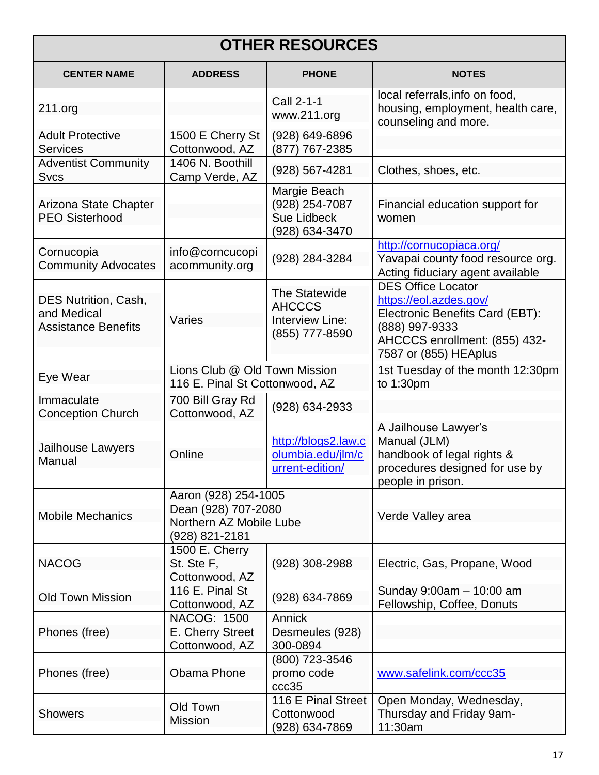| <b>OTHER RESOURCES</b>                                                   |                                                                                          |                                                                        |                                                                                                                                                                    |  |
|--------------------------------------------------------------------------|------------------------------------------------------------------------------------------|------------------------------------------------------------------------|--------------------------------------------------------------------------------------------------------------------------------------------------------------------|--|
| <b>CENTER NAME</b>                                                       | <b>ADDRESS</b>                                                                           | <b>PHONE</b>                                                           | <b>NOTES</b>                                                                                                                                                       |  |
| 211.org                                                                  |                                                                                          | Call 2-1-1<br>www.211.org                                              | local referrals, info on food,<br>housing, employment, health care,<br>counseling and more.                                                                        |  |
| <b>Adult Protective</b><br><b>Services</b>                               | 1500 E Cherry St<br>Cottonwood, AZ                                                       | (928) 649-6896<br>(877) 767-2385                                       |                                                                                                                                                                    |  |
| <b>Adventist Community</b><br><b>Svcs</b>                                | 1406 N. Boothill<br>Camp Verde, AZ                                                       | (928) 567-4281                                                         | Clothes, shoes, etc.                                                                                                                                               |  |
| Arizona State Chapter<br><b>PEO Sisterhood</b>                           |                                                                                          | Margie Beach<br>(928) 254-7087<br><b>Sue Lidbeck</b><br>(928) 634-3470 | Financial education support for<br>women                                                                                                                           |  |
| Cornucopia<br><b>Community Advocates</b>                                 | info@corncucopi<br>acommunity.org                                                        | (928) 284-3284                                                         | http://cornucopiaca.org/<br>Yavapai county food resource org.<br>Acting fiduciary agent available                                                                  |  |
| <b>DES Nutrition, Cash,</b><br>and Medical<br><b>Assistance Benefits</b> | Varies                                                                                   | The Statewide<br><b>AHCCCS</b><br>Interview Line:<br>(855) 777-8590    | <b>DES Office Locator</b><br>https://eol.azdes.gov/<br>Electronic Benefits Card (EBT):<br>(888) 997-9333<br>AHCCCS enrollment: (855) 432-<br>7587 or (855) HEAplus |  |
| Eye Wear                                                                 | Lions Club @ Old Town Mission<br>116 E. Pinal St Cottonwood, AZ                          |                                                                        | 1st Tuesday of the month 12:30pm<br>to 1:30pm                                                                                                                      |  |
| Immaculate<br><b>Conception Church</b>                                   | 700 Bill Gray Rd<br>Cottonwood, AZ                                                       | (928) 634-2933                                                         |                                                                                                                                                                    |  |
| Jailhouse Lawyers<br>Manual                                              | Online                                                                                   | http://blogs2.law.c<br>olumbia.edu/jlm/c<br>urrent-edition/            | A Jailhouse Lawyer's<br>Manual (JLM)<br>handbook of legal rights &<br>procedures designed for use by<br>people in prison.                                          |  |
| <b>Mobile Mechanics</b>                                                  | Aaron (928) 254-1005<br>Dean (928) 707-2080<br>Northern AZ Mobile Lube<br>(928) 821-2181 |                                                                        | Verde Valley area                                                                                                                                                  |  |
| <b>NACOG</b>                                                             | 1500 E. Cherry<br>St. Ste F,<br>Cottonwood, AZ                                           | (928) 308-2988                                                         | Electric, Gas, Propane, Wood                                                                                                                                       |  |
| <b>Old Town Mission</b>                                                  | 116 E. Pinal St<br>Cottonwood, AZ                                                        | (928) 634-7869                                                         | Sunday 9:00am - 10:00 am<br>Fellowship, Coffee, Donuts                                                                                                             |  |
| Phones (free)                                                            | <b>NACOG: 1500</b><br>E. Cherry Street<br>Cottonwood, AZ                                 | Annick<br>Desmeules (928)<br>300-0894                                  |                                                                                                                                                                    |  |
| Phones (free)                                                            | <b>Obama Phone</b>                                                                       | (800) 723-3546<br>promo code<br>ccc35                                  | www.safelink.com/ccc35                                                                                                                                             |  |
| <b>Showers</b>                                                           | Old Town<br><b>Mission</b>                                                               | 116 E Pinal Street<br>Cottonwood<br>(928) 634-7869                     | Open Monday, Wednesday,<br>Thursday and Friday 9am-<br>11:30am                                                                                                     |  |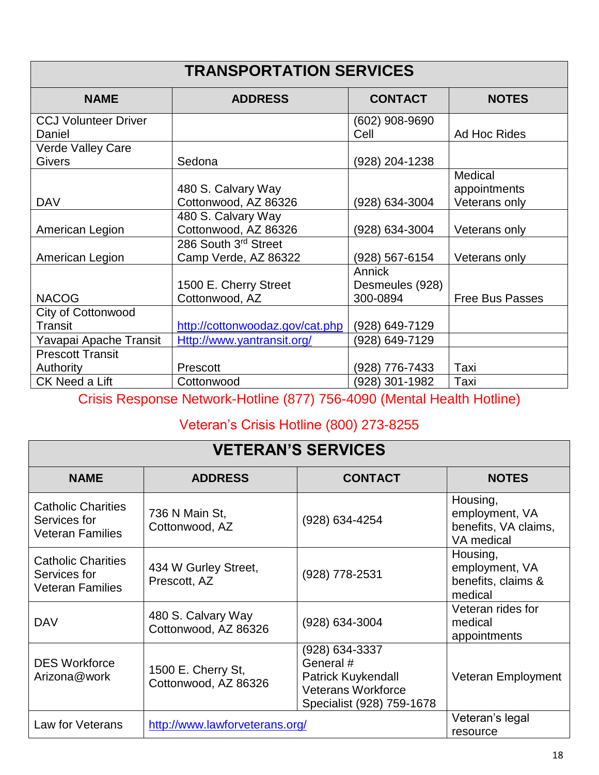| <b>TRANSPORTATION SERVICES</b>            |                                              |                                       |                                          |
|-------------------------------------------|----------------------------------------------|---------------------------------------|------------------------------------------|
| <b>NAME</b>                               | <b>ADDRESS</b>                               | <b>CONTACT</b>                        | <b>NOTES</b>                             |
| <b>CCJ Volunteer Driver</b><br>Daniel     |                                              | $(602)$ 908-9690<br>Cell              | Ad Hoc Rides                             |
| <b>Verde Valley Care</b><br><b>Givers</b> | Sedona                                       | (928) 204-1238                        |                                          |
| <b>DAV</b>                                | 480 S. Calvary Way<br>Cottonwood, AZ 86326   | (928) 634-3004                        | Medical<br>appointments<br>Veterans only |
| American Legion                           | 480 S. Calvary Way<br>Cottonwood, AZ 86326   | (928) 634-3004                        | Veterans only                            |
| American Legion                           | 286 South 3rd Street<br>Camp Verde, AZ 86322 | (928) 567-6154                        | Veterans only                            |
| <b>NACOG</b>                              | 1500 E. Cherry Street<br>Cottonwood, AZ      | Annick<br>Desmeules (928)<br>300-0894 | <b>Free Bus Passes</b>                   |
| City of Cottonwood<br>Transit             | http://cottonwoodaz.gov/cat.php              | (928) 649-7129                        |                                          |
| Yavapai Apache Transit                    | Http://www.yantransit.org/                   | (928) 649-7129                        |                                          |
| <b>Prescott Transit</b><br>Authority      | Prescott                                     | (928) 776-7433                        | Taxi                                     |
| CK Need a Lift                            | Cottonwood                                   | (928) 301-1982                        | Taxi                                     |

Crisis Response Network-Hotline (877) 756-4090 (Mental Health Hotline)

## Veteran's Crisis Hotline (800) 273-8255

| <b>VETERAN'S SERVICES</b>                                            |                                            |                                                                                                                    |                                                                  |
|----------------------------------------------------------------------|--------------------------------------------|--------------------------------------------------------------------------------------------------------------------|------------------------------------------------------------------|
| <b>NAME</b>                                                          | <b>ADDRESS</b>                             | <b>CONTACT</b>                                                                                                     | <b>NOTES</b>                                                     |
| <b>Catholic Charities</b><br>Services for<br><b>Veteran Families</b> | 736 N Main St,<br>Cottonwood, AZ           | (928) 634-4254                                                                                                     | Housing,<br>employment, VA<br>benefits, VA claims,<br>VA medical |
| <b>Catholic Charities</b><br>Services for<br><b>Veteran Families</b> | 434 W Gurley Street,<br>Prescott, AZ       | (928) 778-2531                                                                                                     | Housing,<br>employment, VA<br>benefits, claims &<br>medical      |
| <b>DAV</b>                                                           | 480 S. Calvary Way<br>Cottonwood, AZ 86326 | (928) 634-3004                                                                                                     | Veteran rides for<br>medical<br>appointments                     |
| <b>DES Workforce</b><br>Arizona@work                                 | 1500 E. Cherry St,<br>Cottonwood, AZ 86326 | (928) 634-3337<br>General #<br><b>Patrick Kuykendall</b><br><b>Veterans Workforce</b><br>Specialist (928) 759-1678 | Veteran Employment                                               |
| Law for Veterans                                                     | http://www.lawforveterans.org/             |                                                                                                                    | Veteran's legal<br>resource                                      |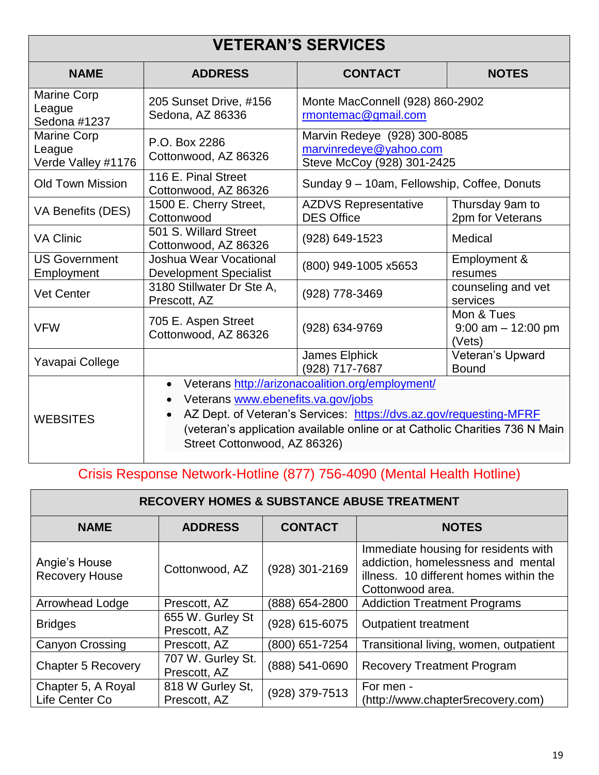#### **VETERAN'S SERVICES NAME ADDRESS CONTACT NOTES** Marine Corp League Sedona #1237 205 Sunset Drive, #156 Sedona, AZ 86336 Monte MacConnell (928) 860-2902 rmontemac@gmail.com Marine Corp League Verde Valley #1176 P.O. Box 2286 Cottonwood, AZ 86326 Marvin Redeye (928) 300-8085 marvinredeye@yahoo.com Steve McCoy (928) 301-2425 Old Town Mission | 116 E. Pinal Street<br>Cottonwood, AZ 86326 Sunday 9 – 10am, Fellowship, Coffee, Donuts VA Benefits (DES) | 1500 E. Cherry Street, **Cottonwood** AZDVS Representative DES Office Thursday 9am to 2pm for Veterans VA Clinic 501 S. Willard Street Cottonwood, AZ 86326 (928) 649-1523 Medical US Government Employment Joshua Wear Vocational Development Specialist (800) 949-1005 x5653 Employment & resumes Vet Center **200 Stillwater Dr Ste A,** (928) 778-3469 counseling and vet counseling and vet services VFW 705 E. Aspen Street Cottonwood, AZ 86326 (928) 634-9769 Mon & Tues 9:00 am – 12:00 pm (Vets) Yavapai College James Elphick<br>
Yavapai College James Elphick (928) 717-7687 Veteran's Upward Bound **WEBSITES**  Veterans http://arizonacoalition.org/employment/ Veterans www.ebenefits.va.gov/jobs • AZ Dept. of Veteran's Services: https://dvs.az.gov/requesting-MFRF (veteran's application available online or at Catholic Charities 736 N Main Street Cottonwood, AZ 86326)

Crisis Response Network-Hotline (877) 756-4090 (Mental Health Hotline)

| <b>RECOVERY HOMES &amp; SUBSTANCE ABUSE TREATMENT</b> |                                   |                |                                                                                                                                          |
|-------------------------------------------------------|-----------------------------------|----------------|------------------------------------------------------------------------------------------------------------------------------------------|
| <b>NAME</b>                                           | <b>ADDRESS</b>                    | <b>CONTACT</b> | <b>NOTES</b>                                                                                                                             |
| Angie's House<br><b>Recovery House</b>                | Cottonwood, AZ                    | (928) 301-2169 | Immediate housing for residents with<br>addiction, homelessness and mental<br>illness. 10 different homes within the<br>Cottonwood area. |
| Arrowhead Lodge                                       | Prescott, AZ                      | (888) 654-2800 | <b>Addiction Treatment Programs</b>                                                                                                      |
| <b>Bridges</b>                                        | 655 W. Gurley St<br>Prescott, AZ  | (928) 615-6075 | <b>Outpatient treatment</b>                                                                                                              |
| <b>Canyon Crossing</b>                                | Prescott, AZ                      | (800) 651-7254 | Transitional living, women, outpatient                                                                                                   |
| <b>Chapter 5 Recovery</b>                             | 707 W. Gurley St.<br>Prescott, AZ | (888) 541-0690 | <b>Recovery Treatment Program</b>                                                                                                        |
| Chapter 5, A Royal<br>Life Center Co                  | 818 W Gurley St,<br>Prescott, AZ  | (928) 379-7513 | For men -<br>(http://www.chapter5recovery.com)                                                                                           |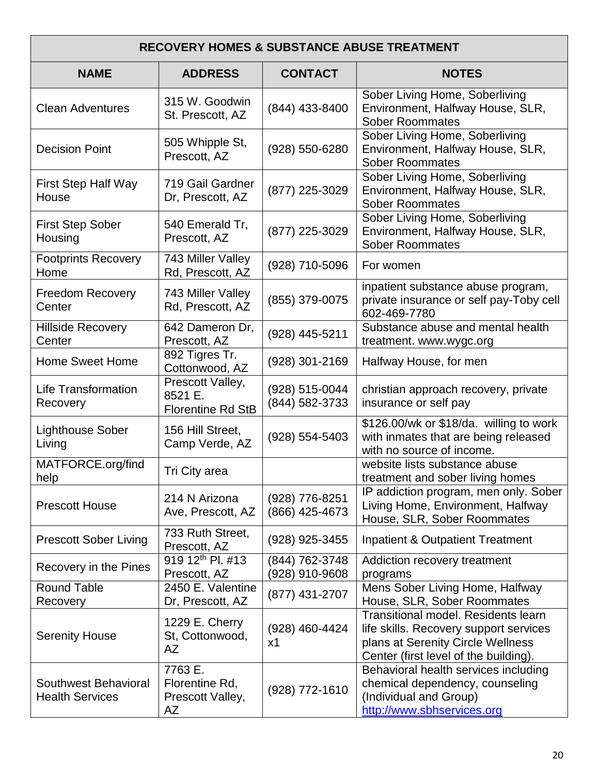| <b>RECOVERY HOMES &amp; SUBSTANCE ABUSE TREATMENT</b> |                                                         |                                  |                                                                                                                                                                    |
|-------------------------------------------------------|---------------------------------------------------------|----------------------------------|--------------------------------------------------------------------------------------------------------------------------------------------------------------------|
| <b>NAME</b>                                           | <b>ADDRESS</b>                                          | <b>CONTACT</b>                   | <b>NOTES</b>                                                                                                                                                       |
| <b>Clean Adventures</b>                               | 315 W. Goodwin<br>St. Prescott, AZ                      | (844) 433-8400                   | Sober Living Home, Soberliving<br>Environment, Halfway House, SLR,<br><b>Sober Roommates</b>                                                                       |
| <b>Decision Point</b>                                 | 505 Whipple St,<br>Prescott, AZ                         | (928) 550-6280                   | Sober Living Home, Soberliving<br>Environment, Halfway House, SLR,<br><b>Sober Roommates</b>                                                                       |
| <b>First Step Half Way</b><br>House                   | 719 Gail Gardner<br>Dr, Prescott, AZ                    | (877) 225-3029                   | Sober Living Home, Soberliving<br>Environment, Halfway House, SLR,<br><b>Sober Roommates</b>                                                                       |
| <b>First Step Sober</b><br>Housing                    | 540 Emerald Tr,<br>Prescott, AZ                         | (877) 225-3029                   | Sober Living Home, Soberliving<br>Environment, Halfway House, SLR,<br><b>Sober Roommates</b>                                                                       |
| <b>Footprints Recovery</b><br>Home                    | 743 Miller Valley<br>Rd, Prescott, AZ                   | (928) 710-5096                   | For women                                                                                                                                                          |
| <b>Freedom Recovery</b><br>Center                     | 743 Miller Valley<br>Rd, Prescott, AZ                   | (855) 379-0075                   | inpatient substance abuse program,<br>private insurance or self pay-Toby cell<br>602-469-7780                                                                      |
| <b>Hillside Recovery</b><br>Center                    | 642 Dameron Dr,<br>Prescott, AZ                         | (928) 445-5211                   | Substance abuse and mental health<br>treatment. www.wygc.org                                                                                                       |
| <b>Home Sweet Home</b>                                | 892 Tigres Tr.<br>Cottonwood, AZ                        | (928) 301-2169                   | Halfway House, for men                                                                                                                                             |
| <b>Life Transformation</b><br>Recovery                | Prescott Valley,<br>8521 E.<br><b>Florentine Rd StB</b> | (928) 515-0044<br>(844) 582-3733 | christian approach recovery, private<br>insurance or self pay                                                                                                      |
| <b>Lighthouse Sober</b><br>Living                     | 156 Hill Street,<br>Camp Verde, AZ                      | (928) 554-5403                   | \$126.00/wk or \$18/da. willing to work<br>with inmates that are being released<br>with no source of income.                                                       |
| MATFORCE.org/find<br>help                             | Tri City area                                           |                                  | website lists substance abuse<br>treatment and sober living homes                                                                                                  |
| <b>Prescott House</b>                                 | 214 N Arizona<br>Ave, Prescott, AZ                      | (928) 776-8251<br>(866) 425-4673 | IP addiction program, men only. Sober<br>Living Home, Environment, Halfway<br>House, SLR, Sober Roommates                                                          |
| <b>Prescott Sober Living</b>                          | 733 Ruth Street,<br>Prescott, AZ                        | (928) 925-3455                   | <b>Inpatient &amp; Outpatient Treatment</b>                                                                                                                        |
| Recovery in the Pines                                 | 919 12 <sup>th</sup> Pl. #13<br>Prescott, AZ            | (844) 762-3748<br>(928) 910-9608 | Addiction recovery treatment<br>programs                                                                                                                           |
| <b>Round Table</b><br>Recovery                        | 2450 E. Valentine<br>Dr, Prescott, AZ                   | (877) 431-2707                   | Mens Sober Living Home, Halfway<br>House, SLR, Sober Roommates                                                                                                     |
| <b>Serenity House</b>                                 | 1229 E. Cherry<br>St, Cottonwood,<br>AZ                 | (928) 460-4424<br>x1             | <b>Transitional model. Residents learn</b><br>life skills. Recovery support services<br>plans at Serenity Circle Wellness<br>Center (first level of the building). |
| Southwest Behavioral<br><b>Health Services</b>        | 7763 E.<br>Florentine Rd,<br>Prescott Valley,<br>AZ     | (928) 772-1610                   | Behavioral health services including<br>chemical dependency, counseling<br>(Individual and Group)<br>http://www.sbhservices.org                                    |